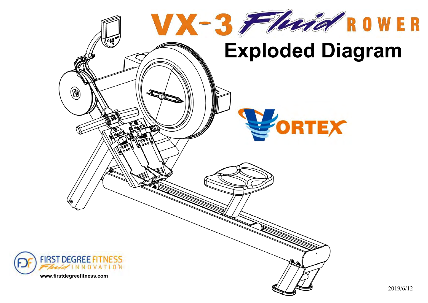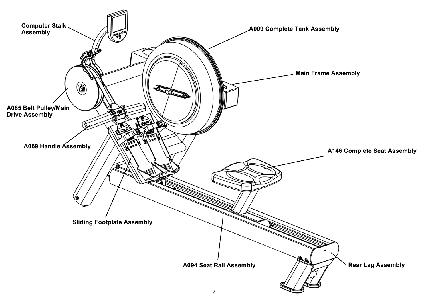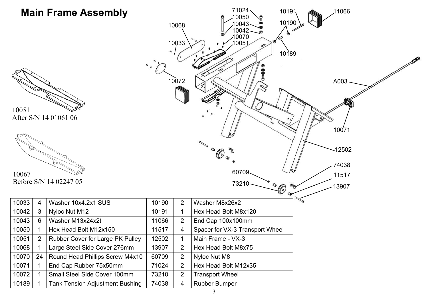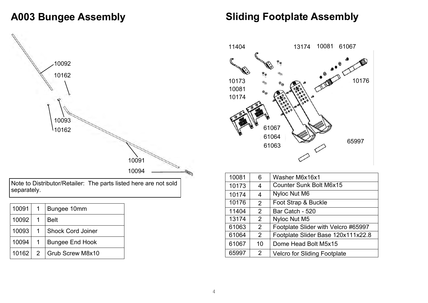#### **A003 Bungee Assembly**

# Note to Distributor/Retailer: The parts listed here are not sold

| 10091 | $\mathbf{1}$ | Bungee 10mm              |
|-------|--------------|--------------------------|
| 10092 | 1            | <b>Belt</b>              |
| 10093 | 1            | <b>Shock Cord Joiner</b> |
| 10094 |              | <b>Bungee End Hook</b>   |
| 10162 | 2            | Grub Screw M8x10         |

separately.

#### **Sliding Footplate Assembly**



| 10081 | 6              | Washer M6x16x1                      |
|-------|----------------|-------------------------------------|
| 10173 | 4              | <b>Counter Sunk Bolt M6x15</b>      |
| 10174 | 4              | Nyloc Nut M6                        |
| 10176 | 2              | Foot Strap & Buckle                 |
| 11404 | $\overline{2}$ | Bar Catch - 520                     |
| 13174 | $\overline{2}$ | Nyloc Nut M5                        |
| 61063 | $\overline{2}$ | Footplate Slider with Velcro #65997 |
| 61064 | $\overline{2}$ | Footplate Slider Base 120x111x22.8  |
| 61067 | 10             | Dome Head Bolt M5x15                |
| 65997 | $\overline{2}$ | <b>Velcro for Sliding Footplate</b> |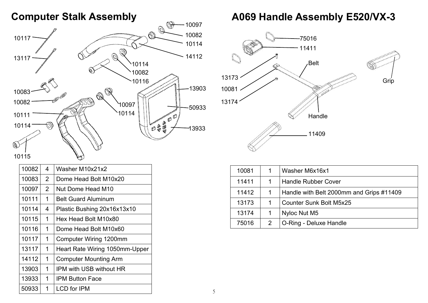#### **Computer Stalk Assembly**



| 10082 | 4 | Washer M10x21x2                |
|-------|---|--------------------------------|
| 10083 | 2 | Dome Head Bolt M10x20          |
| 10097 | 2 | Nut Dome Head M10              |
| 10111 | 1 | <b>Belt Guard Aluminum</b>     |
| 10114 | 4 | Plastic Bushing 20x16x13x10    |
| 10115 | 1 | Hex Head Bolt M10x80           |
| 10116 | 1 | Dome Head Bolt M10x60          |
| 10117 | 1 | Computer Wiring 1200mm         |
| 13117 | 1 | Heart Rate Wiring 1050mm-Upper |
| 14112 | 1 | <b>Computer Mounting Arm</b>   |
| 13903 | 1 | IPM with USB without HR        |
| 13933 | 1 | IPM Button Face                |
| 50933 | 1 | <b>LCD</b> for IPM             |

### **A069 Handle Assembly E520/VX-3**



| 10081 |   | Washer M6x16x1                           |
|-------|---|------------------------------------------|
| 11411 |   | <b>Handle Rubber Cover</b>               |
| 11412 |   | Handle with Belt 2000mm and Grips #11409 |
| 13173 |   | <b>Counter Sunk Bolt M5x25</b>           |
| 13174 |   | Nyloc Nut M5                             |
| 75016 | 2 | O-Ring - Deluxe Handle                   |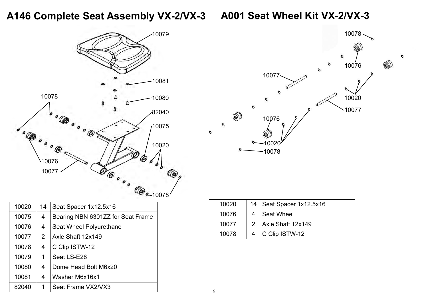# **A146 Complete Seat Assembly VX-2/VX-3 A001 Seat Wheel Kit VX-2/VX-3**





 $\mathcal{O}$ 

| 10020 | 14             | Seat Spacer 1x12.5x16             |
|-------|----------------|-----------------------------------|
| 10075 | 4              | Bearing NBN 6301ZZ for Seat Frame |
| 10076 | 4              | Seat Wheel Polyurethane           |
| 10077 | $\overline{2}$ | Axle Shaft 12x149                 |
| 10078 | 4              | C Clip ISTW-12                    |
| 10079 | 1              | Seat LS-E28                       |
| 10080 | 4              | Dome Head Bolt M6x20              |
| 10081 | 4              | Washer M6x16x1                    |
| 82040 | 1              | Seat Frame VX2/VX3                |

| 10020 | 14   Seat Spacer 1x12.5x16 |
|-------|----------------------------|
| 10076 | Seat Wheel                 |
| 10077 | 2 Axle Shaft 12x149        |
| 10078 | 4   C Clip ISTW-12         |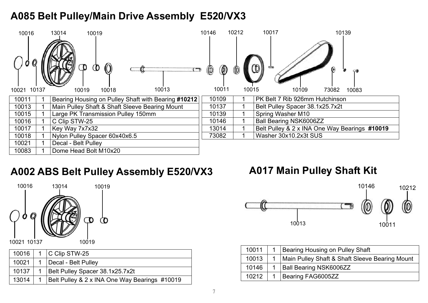# **A085 Belt Pulley/Main Drive Assembly E520/VX3**



# **A002 ABS Belt Pulley Assembly E520/VX3**



|       | 10016   1   C Clip STW-25                     |
|-------|-----------------------------------------------|
| 10021 | 1   Decal - Belt Pulley                       |
| 10137 | 1   Belt Pulley Spacer 38.1x25.7x2t           |
| 13014 | Belt Pulley & 2 x INA One Way Bearings #10019 |

# **A017 Main Pulley Shaft Kit**



| 10011 | 1 Bearing Housing on Pulley Shaft                  |
|-------|----------------------------------------------------|
| 10013 | 1   Main Pulley Shaft & Shaft Sleeve Bearing Mount |
| 10146 | 1   Ball Bearing NSK6006ZZ                         |
| 10212 | Bearing FAG6005ZZ                                  |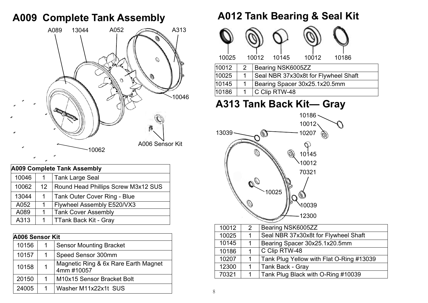#### **A009 Complete Tank Assembly**



| <b>A009 Complete Tank Assembly</b> |                 |                                            |  |
|------------------------------------|-----------------|--------------------------------------------|--|
| 10046                              |                 | Tank Large Seal                            |  |
| 10062                              | 12 <sup>°</sup> | <b>Round Head Phillips Screw M3x12 SUS</b> |  |
| 13044                              |                 | Tank Outer Cover Ring - Blue               |  |
| A052                               |                 | Flywheel Assembly E520/VX3                 |  |
| A089                               |                 | <b>Tank Cover Assembly</b>                 |  |
| A313                               |                 | TTank Back Kit - Gray                      |  |

|       | A006 Sensor Kit |                                                    |  |  |
|-------|-----------------|----------------------------------------------------|--|--|
| 10156 |                 | <b>Sensor Mounting Bracket</b>                     |  |  |
| 10157 |                 | Speed Sensor 300mm                                 |  |  |
| 10158 |                 | Magnetic Ring & 6x Rare Earth Magnet<br>4mm #10057 |  |  |
| 20150 | 1               | M10x15 Sensor Bracket Bolt                         |  |  |
| 24005 |                 | Washer M11x22x1t SUS                               |  |  |

#### **A012 Tank Bearing & Seal Kit**



# **A313 Tank Back Kit— Gray**



| 10012 | 2 | Bearing NSK6005ZZ                        |
|-------|---|------------------------------------------|
| 10025 |   | Seal NBR 37x30x8t for Flywheel Shaft     |
| 10145 |   | Bearing Spacer 30x25.1x20.5mm            |
| 10186 |   | C Clip RTW-48                            |
| 10207 |   | Tank Plug Yellow with Flat O-Ring #13039 |
| 12300 |   | <b>Tank Back - Gray</b>                  |
| 70321 |   | Tank Plug Black with O-Ring #10039       |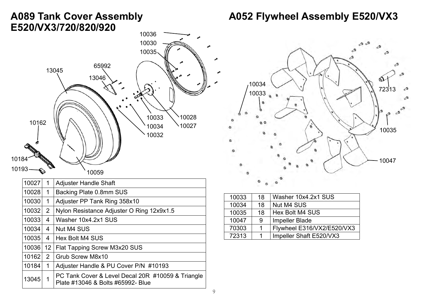#### **A089 Tank Cover Assembly E520/VX3/720/820/920**



| 10027 | 1              | <b>Adjuster Handle Shaft</b>                                                           |
|-------|----------------|----------------------------------------------------------------------------------------|
| 10028 | 1              | Backing Plate 0.8mm SUS                                                                |
| 10030 | 1              | Adjuster PP Tank Ring 358x10                                                           |
| 10032 | 2              | Nylon Resistance Adjuster O Ring 12x9x1.5                                              |
| 10033 | 4              | Washer 10x4.2x1 SUS                                                                    |
| 10034 | $\overline{4}$ | Nut M4 SUS                                                                             |
| 10035 | 4              | Hex Bolt M4 SUS                                                                        |
| 10036 |                | 12   Flat Tapping Screw M3x20 SUS                                                      |
| 10162 | $\overline{2}$ | Grub Screw M8x10                                                                       |
| 10184 | 1              | Adjuster Handle & PU Cover P/N #10193                                                  |
| 13045 | 1              | PC Tank Cover & Level Decal 20R #10059 & Triangle<br>Plate #13046 & Bolts #65992- Blue |

# **A052 Flywheel Assembly E520/VX3**



| 10033 | 18 | Washer 10x4.2x1 SUS        |
|-------|----|----------------------------|
| 10034 | 18 | <b>Nut M4 SUS</b>          |
| 10035 | 18 | Hex Bolt M4 SUS            |
| 10047 | 9  | <b>Impeller Blade</b>      |
| 70303 |    | Flywheel E316/VX2/E520/VX3 |
| 72313 |    | Impeller Shaft E520/VX3    |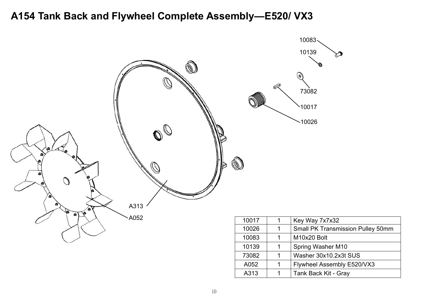#### **A154 Tank Back and Flywheel Complete Assembly—E520/ VX3**



A313 | 1 | Tank Back Kit - Gray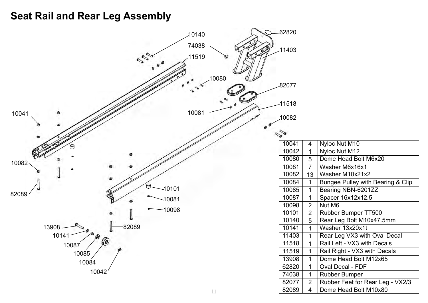# **Seat Rail and Rear Leg Assembly**

| 10140             | $-62820$ |                         |                                              |
|-------------------|----------|-------------------------|----------------------------------------------|
| 74038             |          |                         |                                              |
|                   | $-11403$ |                         |                                              |
| 11519             |          |                         |                                              |
|                   |          |                         |                                              |
|                   |          |                         |                                              |
| 10080             |          |                         |                                              |
|                   | -82077   |                         |                                              |
|                   |          |                         |                                              |
|                   | 11518    |                         |                                              |
| 10081<br>10041    |          |                         |                                              |
|                   | 10082    |                         |                                              |
|                   |          |                         |                                              |
|                   | S        |                         |                                              |
|                   | 10041    | $\overline{4}$          | Nyloc Nut M10                                |
|                   | 10042    | $\overline{\mathbf{1}}$ | Nyloc Nut M12                                |
| 10082             | 10080    | 5                       | Dome Head Bolt M6x20                         |
|                   | 10081    | $\overline{7}$          | Washer M6x16x1                               |
|                   | 10082    | 13                      | Washer M10x21x2                              |
|                   | 10084    |                         | <b>Bungee Pulley with Bearing &amp; Clip</b> |
| $-10101$<br>82089 | 10085    |                         | Bearing NBN-6201ZZ                           |
| $-10081$          | 10087    |                         | Spacer 16x12x12.5                            |
|                   | 10098    | $\overline{2}$          | Nut M6                                       |
| $-10098$          | 10101    | $\overline{2}$          | Rubber Bumper TT500                          |
|                   | 10140    | 5                       | Rear Leg Bolt M10x47.5mm                     |
| 82089<br>13908    | 10141    | -1                      | Washer 13x20x1t                              |
| 10141             | 11403    |                         | Rear Leg VX3 with Oval Decal                 |
| (6)<br>10087      | 11518    | -1                      | Rail Left - VX3 with Decals                  |
| 10085             | 11519    |                         | Rail Right - VX3 with Decals                 |
|                   | 13908    |                         | Dome Head Bolt M12x65                        |
| 10084             | 62820    |                         | Oval Decal - FDF                             |
| 10042             | 74038    | $\overline{1}$          | <b>Rubber Bumper</b>                         |
|                   | 82077    | $\overline{2}$          | Rubber Feet for Rear Leg - VX2/3             |
| 11                | 82089    | $\overline{4}$          | Dome Head Bolt M10x80                        |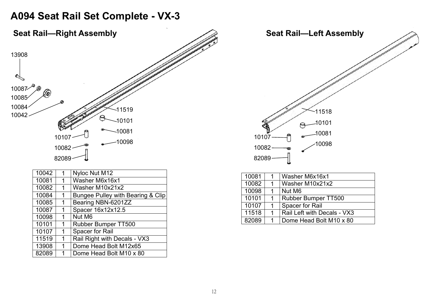#### **A094 Seat Rail Set Complete - VX-3**



| 10042 | 1 | Nyloc Nut M12                     |
|-------|---|-----------------------------------|
| 10081 | 1 | Washer M6x16x1                    |
| 10082 | 1 | Washer M10x21x2                   |
| 10084 | 1 | Bungee Pulley with Bearing & Clip |
| 10085 | 1 | Bearing NBN-6201ZZ                |
| 10087 | 1 | Spacer 16x12x12.5                 |
| 10098 | 1 | Nut M6                            |
| 10101 | 1 | Rubber Bumper TT500               |
| 10107 | 1 | Spacer for Rail                   |
| 11519 | 1 | Rail Right with Decals - VX3      |
| 13908 | 1 | Dome Head Bolt M12x65             |
| 82089 | 1 | Dome Head Bolt M10 x 80           |

| 10081 | Washer M6x16x1              |
|-------|-----------------------------|
| 10082 | Washer M10x21x2             |
| 10098 | Nut M <sub>6</sub>          |
| 10101 | <b>Rubber Bumper TT500</b>  |
| 10107 | Spacer for Rail             |
| 11518 | Rail Left with Decals - VX3 |
| 82089 | Dome Head Bolt M10 x 80     |